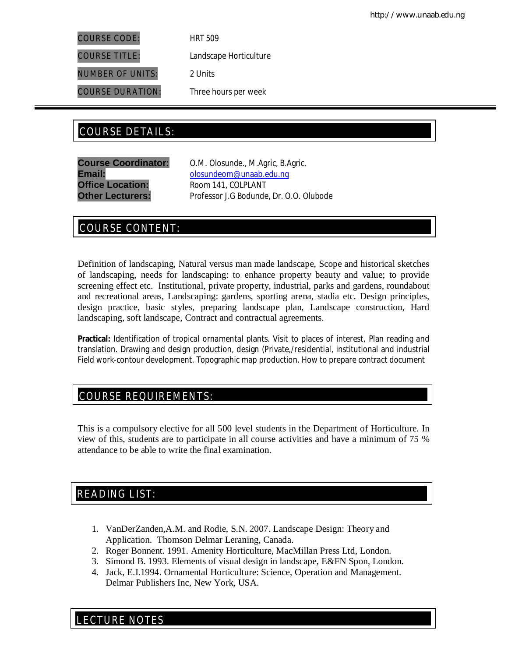COURSE CODE: HRT 509

COURSE TITLE: Landscape Horticulture

NUMBER OF UNITS: 2 Units

COURSE DURATION: Three hours per week

# COURSE DETAILS: COURSE DETAILS:

**Office Location:** Room 141, COLPLANT

**Course Coordinator:** O.M. Olosunde., M.Agric, B.Agric. Email: **Email:** olosundeom@unaab.edu.ng **Other Lecturers:** Professor J.G Bodunde, Dr. O.O. Olubode

## COURSE CONTENT:

Definition of landscaping, Natural versus man made landscape, Scope and historical sketches of landscaping, needs for landscaping: to enhance property beauty and value; to provide screening effect etc. Institutional, private property, industrial, parks and gardens, roundabout and recreational areas, Landscaping: gardens, sporting arena, stadia etc. Design principles, design practice, basic styles, preparing landscape plan, Landscape construction, Hard landscaping, soft landscape, Contract and contractual agreements.

**Practical:** Identification of tropical ornamental plants. Visit to places of interest, Plan reading and translation. Drawing and design production, design (Private,/residential, institutional and industrial Field work-contour development. Topographic map production. How to prepare contract document

## COURSE REQUIREMENTS:

This is a compulsory elective for all 500 level students in the Department of Horticulture. In view of this, students are to participate in all course activities and have a minimum of 75 % attendance to be able to write the final examination.

## READING LIST:

- 1. VanDerZanden,A.M. and Rodie, S.N. 2007. Landscape Design: Theory and Application.Thomson Delmar Leraning, Canada.
- 2. Roger Bonnent. 1991. Amenity Horticulture, MacMillan Press Ltd, London.
- 3. Simond B. 1993. Elements of visual design in landscape, E&FN Spon, London.
- 4. Jack, E.I.1994. Ornamental Horticulture: Science, Operation and Management. Delmar Publishers Inc, New York, USA.

E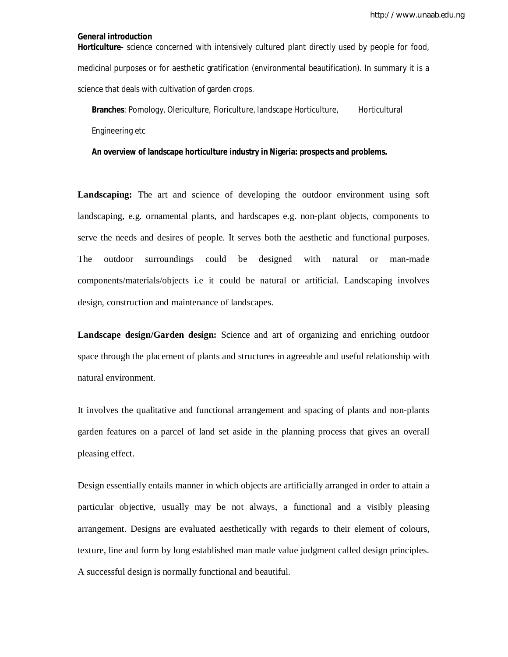http://www.unaab.edu.ng

## **General introduction**

**Horticulture-** science concerned with intensively cultured plant directly used by people for food, medicinal purposes or for aesthetic gratification (environmental beautification). In summary it is a science that deals with cultivation of garden crops.

**Branches: Pomology, Olericulture, Floriculture, landscape Horticulture, Horticultural** Engineering etc

**An overview of landscape horticulture industry in Nigeria: prospects and problems.**

**Landscaping:** The art and science of developing the outdoor environment using soft landscaping, e.g. ornamental plants, and hardscapes e.g. non-plant objects, components to serve the needs and desires of people. It serves both the aesthetic and functional purposes. The outdoor surroundings could be designed with natural or man-made components/materials/objects i.e it could be natural or artificial. Landscaping involves design, construction and maintenance of landscapes.

**Landscape design/Garden design:** Science and art of organizing and enriching outdoor space through the placement of plants and structures in agreeable and useful relationship with natural environment.

It involves the qualitative and functional arrangement and spacing of plants and non-plants garden features on a parcel of land set aside in the planning process that gives an overall pleasing effect.

Design essentially entails manner in which objects are artificially arranged in order to attain a particular objective, usually may be not always, a functional and a visibly pleasing arrangement. Designs are evaluated aesthetically with regards to their element of colours, texture, line and form by long established man made value judgment called design principles. A successful design is normally functional and beautiful.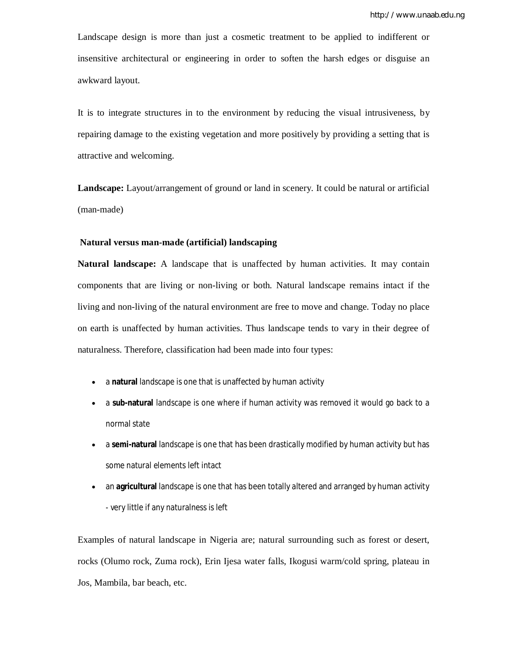Landscape design is more than just a cosmetic treatment to be applied to indifferent or insensitive architectural or engineering in order to soften the harsh edges or disguise an awkward layout.

It is to integrate structures in to the environment by reducing the visual intrusiveness, by repairing damage to the existing vegetation and more positively by providing a setting that is attractive and welcoming.

**Landscape:** Layout/arrangement of ground or land in scenery. It could be natural or artificial (man-made)

#### **Natural versus man-made (artificial) landscaping**

**Natural landscape:** A landscape that is unaffected by human activities. It may contain components that are living or non-living or both. Natural landscape remains intact if the living and non-living of the natural environment are free to move and change. Today no place on earth is unaffected by human activities. Thus landscape tends to vary in their degree of naturalness. Therefore, classification had been made into four types:

- a **natural** landscape is one that is unaffected by human activity
- a **sub-natural** landscape is one where if human activity was removed it would go back to a normal state
- a **semi-natural** landscape is one that has been drastically modified by human activity but has some natural elements left intact
- an **agricultural** landscape is one that has been totally altered and arranged by human activity - very little if any naturalness is left

Examples of natural landscape in Nigeria are; natural surrounding such as forest or desert, rocks (Olumo rock, Zuma rock), Erin Ijesa water falls, Ikogusi warm/cold spring, plateau in Jos, Mambila, bar beach, etc.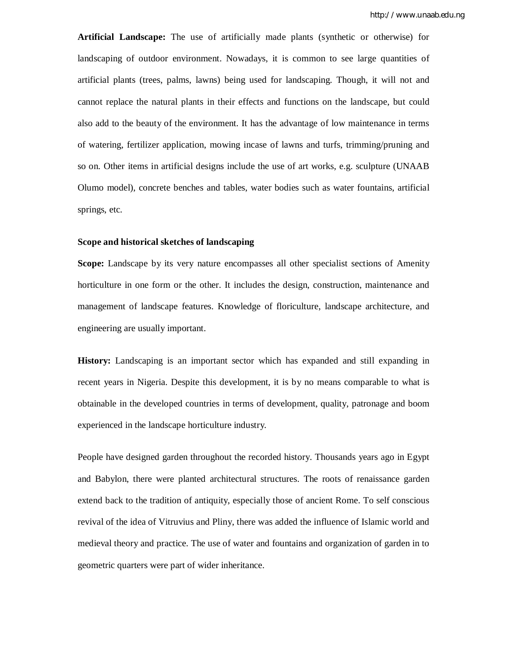**Artificial Landscape:** The use of artificially made plants (synthetic or otherwise) for landscaping of outdoor environment. Nowadays, it is common to see large quantities of artificial plants (trees, palms, lawns) being used for landscaping. Though, it will not and cannot replace the natural plants in their effects and functions on the landscape, but could also add to the beauty of the environment. It has the advantage of low maintenance in terms of watering, fertilizer application, mowing incase of lawns and turfs, trimming/pruning and so on. Other items in artificial designs include the use of art works, e.g. sculpture (UNAAB Olumo model), concrete benches and tables, water bodies such as water fountains, artificial springs, etc.

## **Scope and historical sketches of landscaping**

**Scope:** Landscape by its very nature encompasses all other specialist sections of Amenity horticulture in one form or the other. It includes the design, construction, maintenance and management of landscape features. Knowledge of floriculture, landscape architecture, and engineering are usually important.

**History:** Landscaping is an important sector which has expanded and still expanding in recent years in Nigeria. Despite this development, it is by no means comparable to what is obtainable in the developed countries in terms of development, quality, patronage and boom experienced in the landscape horticulture industry.

People have designed garden throughout the recorded history. Thousands years ago in Egypt and Babylon, there were planted architectural structures. The roots of renaissance garden extend back to the tradition of antiquity, especially those of ancient Rome. To self conscious revival of the idea of Vitruvius and Pliny, there was added the influence of Islamic world and medieval theory and practice. The use of water and fountains and organization of garden in to geometric quarters were part of wider inheritance.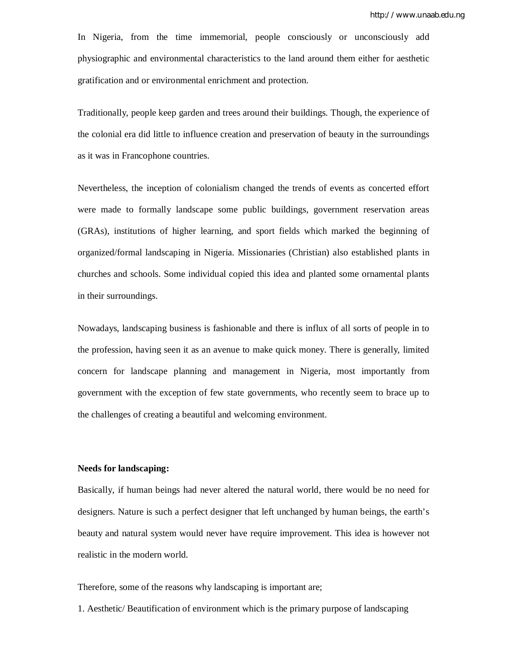In Nigeria, from the time immemorial, people consciously or unconsciously add physiographic and environmental characteristics to the land around them either for aesthetic gratification and or environmental enrichment and protection.

Traditionally, people keep garden and trees around their buildings. Though, the experience of the colonial era did little to influence creation and preservation of beauty in the surroundings as it was in Francophone countries.

Nevertheless, the inception of colonialism changed the trends of events as concerted effort were made to formally landscape some public buildings, government reservation areas (GRAs), institutions of higher learning, and sport fields which marked the beginning of organized/formal landscaping in Nigeria. Missionaries (Christian) also established plants in churches and schools. Some individual copied this idea and planted some ornamental plants in their surroundings.

Nowadays, landscaping business is fashionable and there is influx of all sorts of people in to the profession, having seen it as an avenue to make quick money. There is generally, limited concern for landscape planning and management in Nigeria, most importantly from government with the exception of few state governments, who recently seem to brace up to the challenges of creating a beautiful and welcoming environment.

#### **Needs for landscaping:**

Basically, if human beings had never altered the natural world, there would be no need for designers. Nature is such a perfect designer that left unchanged by human beings, the earth's beauty and natural system would never have require improvement. This idea is however not realistic in the modern world.

Therefore, some of the reasons why landscaping is important are;

1. Aesthetic/ Beautification of environment which is the primary purpose of landscaping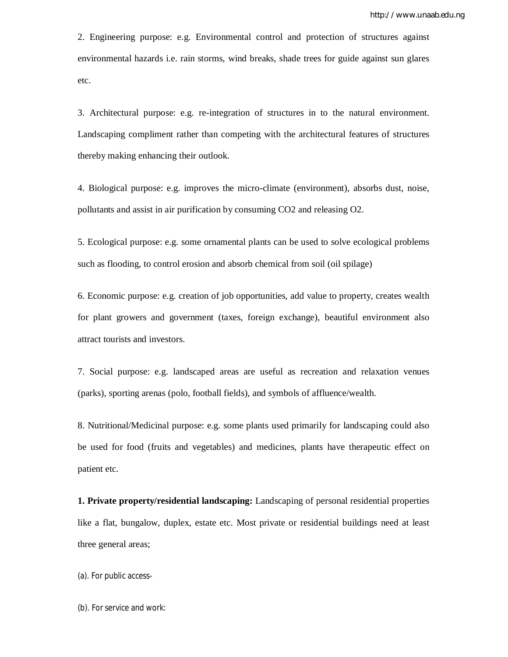2. Engineering purpose: e.g. Environmental control and protection of structures against environmental hazards i.e. rain storms, wind breaks, shade trees for guide against sun glares etc.

3. Architectural purpose: e.g. re-integration of structures in to the natural environment. Landscaping compliment rather than competing with the architectural features of structures thereby making enhancing their outlook.

4. Biological purpose: e.g. improves the micro-climate (environment), absorbs dust, noise, pollutants and assist in air purification by consuming CO2 and releasing O2.

5. Ecological purpose: e.g. some ornamental plants can be used to solve ecological problems such as flooding, to control erosion and absorb chemical from soil (oil spilage)

6. Economic purpose: e.g. creation of job opportunities, add value to property, creates wealth for plant growers and government (taxes, foreign exchange), beautiful environment also attract tourists and investors.

7. Social purpose: e.g. landscaped areas are useful as recreation and relaxation venues (parks), sporting arenas (polo, football fields), and symbols of affluence/wealth.

8. Nutritional/Medicinal purpose: e.g. some plants used primarily for landscaping could also be used for food (fruits and vegetables) and medicines, plants have therapeutic effect on patient etc.

**1. Private property/residential landscaping:** Landscaping of personal residential properties like a flat, bungalow, duplex, estate etc. Most private or residential buildings need at least three general areas;

(a). For public access-

(b). For service and work: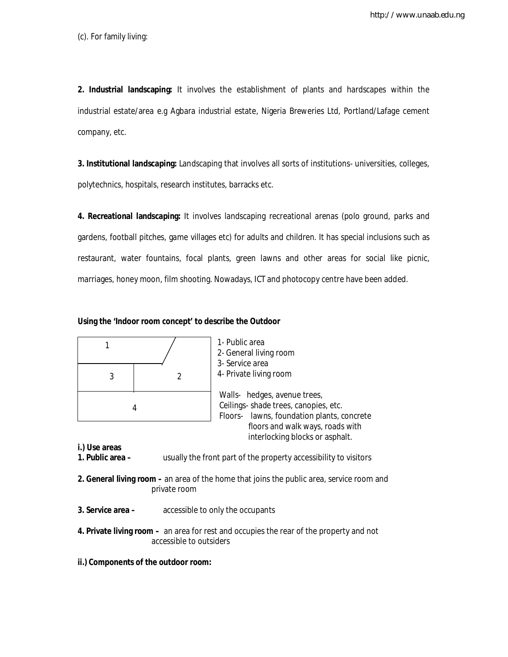(c). For family living:

**2. Industrial landscaping:** It involves the establishment of plants and hardscapes within the industrial estate/area e.g Agbara industrial estate, Nigeria Breweries Ltd, Portland/Lafage cement company, etc.

**3. Institutional landscaping:** Landscaping that involves all sorts of institutions- universities, colleges, polytechnics, hospitals, research institutes, barracks etc.

**4. Recreational landscaping:** It involves landscaping recreational arenas (polo ground, parks and gardens, football pitches, game villages etc) for adults and children. It has special inclusions such as restaurant, water fountains, focal plants, green lawns and other areas for social like picnic, marriages, honey moon, film shooting. Nowadays, ICT and photocopy centre have been added.

### **Using the 'Indoor room concept' to describe the Outdoor**

|   |  | 1- Public area<br>2- General living room<br>3- Service area                                                         |
|---|--|---------------------------------------------------------------------------------------------------------------------|
| 3 |  | 4- Private living room                                                                                              |
| 4 |  | Walls- hedges, avenue trees,<br>Ceilings- shade trees, canopies, etc.<br>Floors- lawns, foundation plants, concrete |
|   |  | floors and walk ways, roads with<br>interlocking blocks or asphalt.                                                 |

**i.) Use areas**

**usually the front part of the property accessibility to visitors** 

- **2. General living room –** an area of the home that joins the public area, service room and private room
- **3. Service area –** accessible to only the occupants
- **4. Private living room** an area for rest and occupies the rear of the property and not accessible to outsiders
- **ii.) Components of the outdoor room:**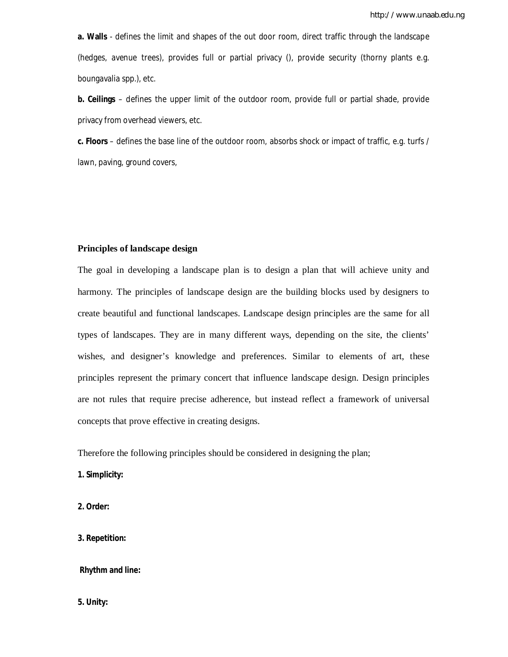**a. Walls** - defines the limit and shapes of the out door room, direct traffic through the landscape (hedges, avenue trees), provides full or partial privacy (), provide security (thorny plants e.g. boungavalia spp.), etc.

**b. Ceilings** – defines the upper limit of the outdoor room, provide full or partial shade, provide privacy from overhead viewers, etc.

**c. Floors** – defines the base line of the outdoor room, absorbs shock or impact of traffic, e.g. turfs / lawn, paving, ground covers,

## **Principles of landscape design**

The goal in developing a landscape plan is to design a plan that will achieve unity and harmony. The principles of landscape design are the building blocks used by designers to create beautiful and functional landscapes. Landscape design principles are the same for all types of landscapes. They are in many different ways, depending on the site, the clients' wishes, and designer's knowledge and preferences. Similar to elements of art, these principles represent the primary concert that influence landscape design. Design principles are not rules that require precise adherence, but instead reflect a framework of universal concepts that prove effective in creating designs.

Therefore the following principles should be considered in designing the plan;

**1. Simplicity:**

**2. Order:**

**3. Repetition:**

**Rhythm and line:**

**5. Unity:**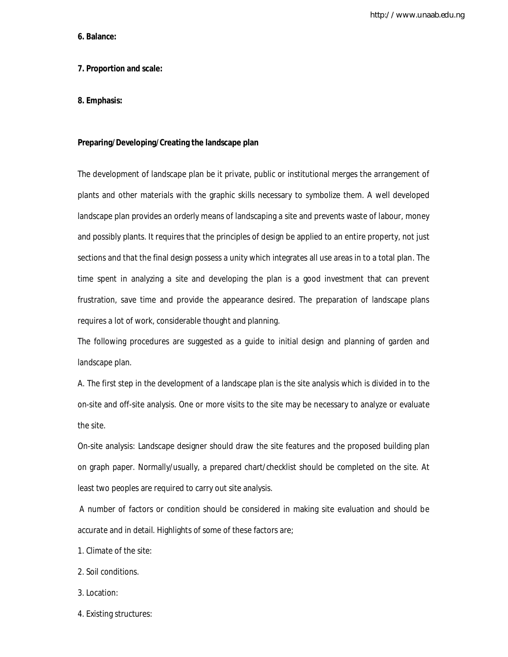http://www.unaab.edu.ng

#### **6. Balance:**

## **7. Proportion and scale:**

## **8. Emphasis:**

### **Preparing/Developing/Creating the landscape plan**

The development of landscape plan be it private, public or institutional merges the arrangement of plants and other materials with the graphic skills necessary to symbolize them. A well developed landscape plan provides an orderly means of landscaping a site and prevents waste of labour, money and possibly plants. It requires that the principles of design be applied to an entire property, not just sections and that the final design possess a unity which integrates all use areas in to a total plan. The time spent in analyzing a site and developing the plan is a good investment that can prevent frustration, save time and provide the appearance desired. The preparation of landscape plans requires a lot of work, considerable thought and planning.

The following procedures are suggested as a guide to initial design and planning of garden and landscape plan.

A. The first step in the development of a landscape plan is the site analysis which is divided in to the on-site and off-site analysis. One or more visits to the site may be necessary to analyze or evaluate the site.

On-site analysis: Landscape designer should draw the site features and the proposed building plan on graph paper. Normally/usually, a prepared chart/checklist should be completed on the site. At least two peoples are required to carry out site analysis.

A number of factors or condition should be considered in making site evaluation and should be accurate and in detail. Highlights of some of these factors are;

- 1. Climate of the site:
- 2. Soil conditions.
- 3. Location:
- 4. Existing structures: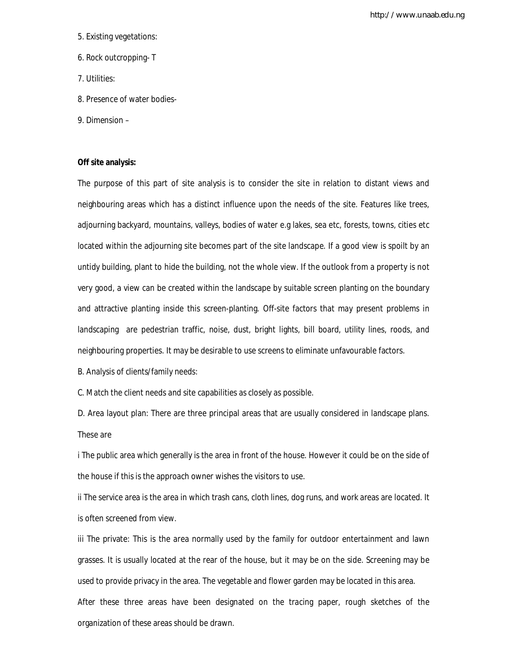http://www.unaab.edu.ng

- 5. Existing vegetations:
- 6. Rock outcropping- T
- 7. Utilities:
- 8. Presence of water bodies-
- 9. Dimension –

## **Off site analysis:**

The purpose of this part of site analysis is to consider the site in relation to distant views and neighbouring areas which has a distinct influence upon the needs of the site. Features like trees, adjourning backyard, mountains, valleys, bodies of water e.g lakes, sea etc, forests, towns, cities etc located within the adjourning site becomes part of the site landscape. If a good view is spoilt by an untidy building, plant to hide the building, not the whole view. If the outlook from a property is not very good, a view can be created within the landscape by suitable screen planting on the boundary and attractive planting inside this screen-planting. Off-site factors that may present problems in landscaping are pedestrian traffic, noise, dust, bright lights, bill board, utility lines, roods, and neighbouring properties. It may be desirable to use screens to eliminate unfavourable factors.

B. Analysis of clients/family needs:

C. Match the client needs and site capabilities as closely as possible.

D. Area layout plan: There are three principal areas that are usually considered in landscape plans. These are

i The public area which generally is the area in front of the house. However it could be on the side of the house if this is the approach owner wishes the visitors to use.

ii The service area is the area in which trash cans, cloth lines, dog runs, and work areas are located. It is often screened from view.

iii The private: This is the area normally used by the family for outdoor entertainment and lawn grasses. It is usually located at the rear of the house, but it may be on the side. Screening may be used to provide privacy in the area. The vegetable and flower garden may be located in this area. After these three areas have been designated on the tracing paper, rough sketches of the organization of these areas should be drawn.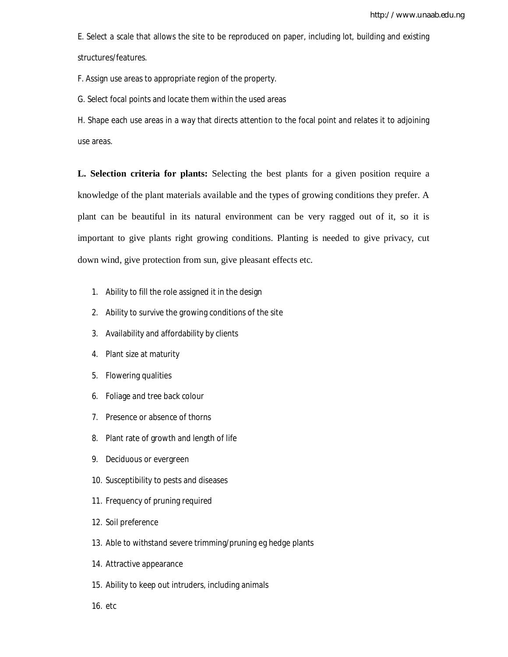E. Select a scale that allows the site to be reproduced on paper, including lot, building and existing structures/features.

F. Assign use areas to appropriate region of the property.

G. Select focal points and locate them within the used areas

H. Shape each use areas in a way that directs attention to the focal point and relates it to adjoining use areas.

**L. Selection criteria for plants:** Selecting the best plants for a given position require a knowledge of the plant materials available and the types of growing conditions they prefer. A plant can be beautiful in its natural environment can be very ragged out of it, so it is important to give plants right growing conditions. Planting is needed to give privacy, cut down wind, give protection from sun, give pleasant effects etc.

- 1. Ability to fill the role assigned it in the design
- 2. Ability to survive the growing conditions of the site
- 3. Availability and affordability by clients
- 4. Plant size at maturity
- 5. Flowering qualities
- 6. Foliage and tree back colour
- 7. Presence or absence of thorns
- 8. Plant rate of growth and length of life
- 9. Deciduous or evergreen
- 10. Susceptibility to pests and diseases
- 11. Frequency of pruning required
- 12. Soil preference
- 13. Able to withstand severe trimming/pruning eg hedge plants
- 14. Attractive appearance
- 15. Ability to keep out intruders, including animals
- 16. etc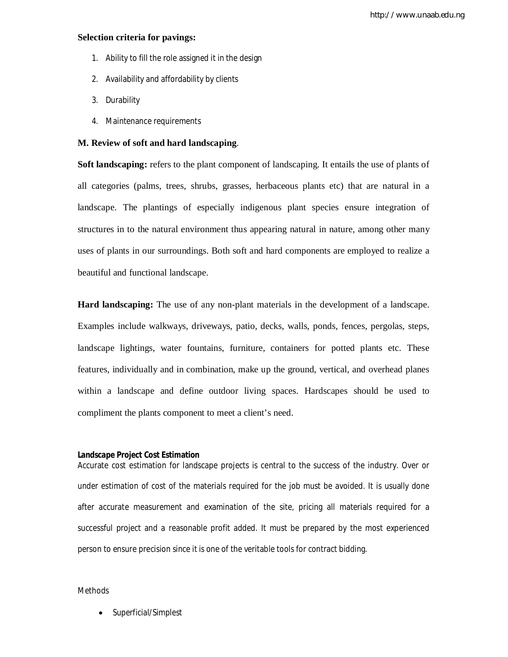#### **Selection criteria for pavings:**

- 1. Ability to fill the role assigned it in the design
- 2. Availability and affordability by clients
- 3. Durability
- 4. Maintenance requirements

### **M. Review of soft and hard landscaping**.

**Soft landscaping:** refers to the plant component of landscaping. It entails the use of plants of all categories (palms, trees, shrubs, grasses, herbaceous plants etc) that are natural in a landscape. The plantings of especially indigenous plant species ensure integration of structures in to the natural environment thus appearing natural in nature, among other many uses of plants in our surroundings. Both soft and hard components are employed to realize a beautiful and functional landscape.

**Hard landscaping:** The use of any non-plant materials in the development of a landscape. Examples include walkways, driveways, patio, decks, walls, ponds, fences, pergolas, steps, landscape lightings, water fountains, furniture, containers for potted plants etc. These features, individually and in combination, make up the ground, vertical, and overhead planes within a landscape and define outdoor living spaces. Hardscapes should be used to compliment the plants component to meet a client's need.

#### **Landscape Project Cost Estimation**

Accurate cost estimation for landscape projects is central to the success of the industry. Over or under estimation of cost of the materials required for the job must be avoided. It is usually done after accurate measurement and examination of the site, pricing all materials required for a successful project and a reasonable profit added. It must be prepared by the most experienced person to ensure precision since it is one of the veritable tools for contract bidding.

#### Methods

Superficial/Simplest